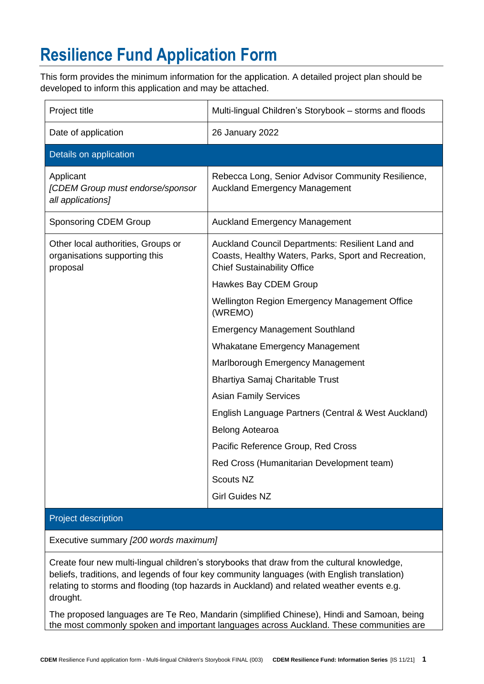## **Resilience Fund Application Form**

This form provides the minimum information for the application. A detailed project plan should be developed to inform this application and may be attached.

| Project title                                                                   | Multi-lingual Children's Storybook - storms and floods                                                                                         |
|---------------------------------------------------------------------------------|------------------------------------------------------------------------------------------------------------------------------------------------|
| Date of application                                                             | 26 January 2022                                                                                                                                |
| Details on application                                                          |                                                                                                                                                |
| Applicant<br>[CDEM Group must endorse/sponsor<br>all applications]              | Rebecca Long, Senior Advisor Community Resilience,<br><b>Auckland Emergency Management</b>                                                     |
| <b>Sponsoring CDEM Group</b>                                                    | <b>Auckland Emergency Management</b>                                                                                                           |
| Other local authorities, Groups or<br>organisations supporting this<br>proposal | Auckland Council Departments: Resilient Land and<br>Coasts, Healthy Waters, Parks, Sport and Recreation,<br><b>Chief Sustainability Office</b> |
|                                                                                 | Hawkes Bay CDEM Group                                                                                                                          |
|                                                                                 | Wellington Region Emergency Management Office<br>(WREMO)                                                                                       |
|                                                                                 | <b>Emergency Management Southland</b>                                                                                                          |
|                                                                                 | <b>Whakatane Emergency Management</b>                                                                                                          |
|                                                                                 | Marlborough Emergency Management                                                                                                               |
|                                                                                 | Bhartiya Samaj Charitable Trust                                                                                                                |
|                                                                                 | <b>Asian Family Services</b>                                                                                                                   |
|                                                                                 | English Language Partners (Central & West Auckland)                                                                                            |
|                                                                                 | Belong Aotearoa                                                                                                                                |
|                                                                                 | Pacific Reference Group, Red Cross                                                                                                             |
|                                                                                 | Red Cross (Humanitarian Development team)                                                                                                      |
|                                                                                 | <b>Scouts NZ</b>                                                                                                                               |
|                                                                                 | <b>Girl Guides NZ</b>                                                                                                                          |

## Project description

Executive summary *[200 words maximum]*

Create four new multi-lingual children's storybooks that draw from the cultural knowledge, beliefs, traditions, and legends of four key community languages (with English translation) relating to storms and flooding (top hazards in Auckland) and related weather events e.g. drought.

The proposed languages are Te Reo, Mandarin (simplified Chinese), Hindi and Samoan, being the most commonly spoken and important languages across Auckland. These communities are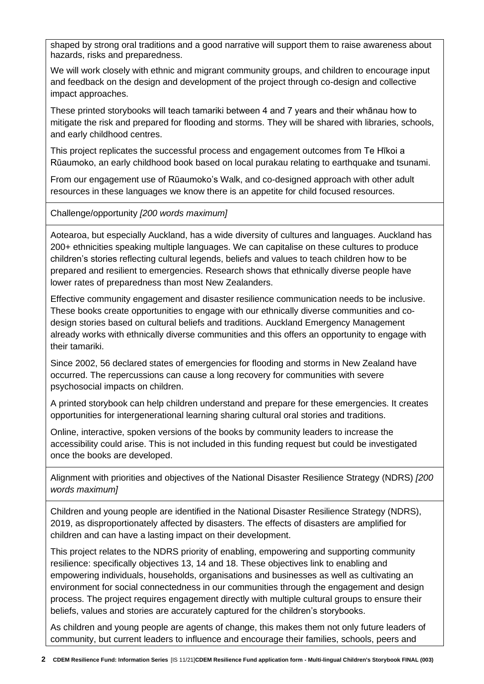shaped by strong oral traditions and a good narrative will support them to raise awareness about hazards, risks and preparedness.

We will work closely with ethnic and migrant community groups, and children to encourage input and feedback on the design and development of the project through co-design and collective impact approaches.

These printed storybooks will teach tamariki between 4 and 7 years and their whānau how to mitigate the risk and prepared for flooding and storms. They will be shared with libraries, schools, and early childhood centres.

This project replicates the successful process and engagement outcomes from Te Hīkoi a Rūaumoko, an early childhood book based on local purakau relating to earthquake and tsunami.

From our engagement use of Rūaumoko's Walk, and co-designed approach with other adult resources in these languages we know there is an appetite for child focused resources.

Challenge/opportunity *[200 words maximum]*

Aotearoa, but especially Auckland, has a wide diversity of cultures and languages. Auckland has 200+ ethnicities speaking multiple languages. We can capitalise on these cultures to produce children's stories reflecting cultural legends, beliefs and values to teach children how to be prepared and resilient to emergencies. Research shows that ethnically diverse people have lower rates of preparedness than most New Zealanders.

Effective community engagement and disaster resilience communication needs to be inclusive. These books create opportunities to engage with our ethnically diverse communities and codesign stories based on cultural beliefs and traditions. Auckland Emergency Management already works with ethnically diverse communities and this offers an opportunity to engage with their tamariki.

Since 2002, 56 declared states of emergencies for flooding and storms in New Zealand have occurred. The repercussions can cause a long recovery for communities with severe psychosocial impacts on children.

A printed storybook can help children understand and prepare for these emergencies. It creates opportunities for intergenerational learning sharing cultural oral stories and traditions.

Online, interactive, spoken versions of the books by community leaders to increase the accessibility could arise. This is not included in this funding request but could be investigated once the books are developed.

Alignment with priorities and objectives of the National Disaster Resilience Strategy (NDRS) *[200 words maximum]*

Children and young people are identified in the National Disaster Resilience Strategy (NDRS), 2019, as disproportionately affected by disasters. The effects of disasters are amplified for children and can have a lasting impact on their development.

This project relates to the NDRS priority of enabling, empowering and supporting community resilience: specifically objectives 13, 14 and 18. These objectives link to enabling and empowering individuals, households, organisations and businesses as well as cultivating an environment for social connectedness in our communities through the engagement and design process. The project requires engagement directly with multiple cultural groups to ensure their beliefs, values and stories are accurately captured for the children's storybooks.

As children and young people are agents of change, this makes them not only future leaders of community, but current leaders to influence and encourage their families, schools, peers and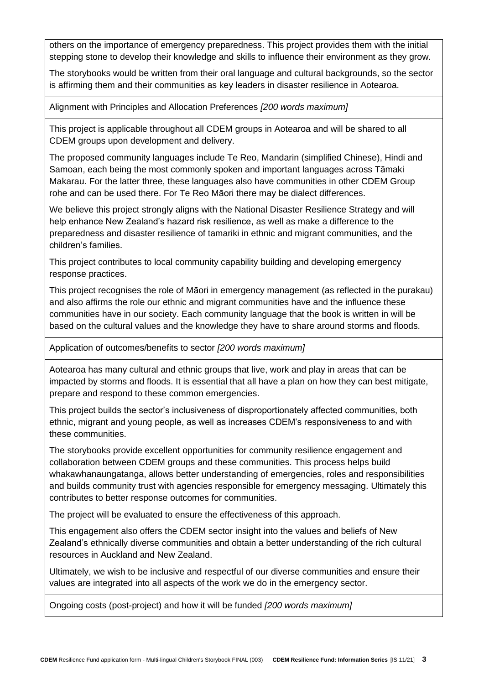others on the importance of emergency preparedness. This project provides them with the initial stepping stone to develop their knowledge and skills to influence their environment as they grow.

The storybooks would be written from their oral language and cultural backgrounds, so the sector is affirming them and their communities as key leaders in disaster resilience in Aotearoa.

Alignment with Principles and Allocation Preferences *[200 words maximum]*

This project is applicable throughout all CDEM groups in Aotearoa and will be shared to all CDEM groups upon development and delivery.

The proposed community languages include Te Reo, Mandarin (simplified Chinese), Hindi and Samoan, each being the most commonly spoken and important languages across Tāmaki Makarau. For the latter three, these languages also have communities in other CDEM Group rohe and can be used there. For Te Reo Māori there may be dialect differences.

We believe this project strongly aligns with the National Disaster Resilience Strategy and will help enhance New Zealand's hazard risk resilience, as well as make a difference to the preparedness and disaster resilience of tamariki in ethnic and migrant communities, and the children's families.

This project contributes to local community capability building and developing emergency response practices.

This project recognises the role of Māori in emergency management (as reflected in the purakau) and also affirms the role our ethnic and migrant communities have and the influence these communities have in our society. Each community language that the book is written in will be based on the cultural values and the knowledge they have to share around storms and floods.

Application of outcomes/benefits to sector *[200 words maximum]*

Aotearoa has many cultural and ethnic groups that live, work and play in areas that can be impacted by storms and floods. It is essential that all have a plan on how they can best mitigate, prepare and respond to these common emergencies.

This project builds the sector's inclusiveness of disproportionately affected communities, both ethnic, migrant and young people, as well as increases CDEM's responsiveness to and with these communities.

The storybooks provide excellent opportunities for community resilience engagement and collaboration between CDEM groups and these communities. This process helps build whakawhanaungatanga, allows better understanding of emergencies, roles and responsibilities and builds community trust with agencies responsible for emergency messaging. Ultimately this contributes to better response outcomes for communities.

The project will be evaluated to ensure the effectiveness of this approach.

This engagement also offers the CDEM sector insight into the values and beliefs of New Zealand's ethnically diverse communities and obtain a better understanding of the rich cultural resources in Auckland and New Zealand.

Ultimately, we wish to be inclusive and respectful of our diverse communities and ensure their values are integrated into all aspects of the work we do in the emergency sector.

Ongoing costs (post-project) and how it will be funded *[200 words maximum]*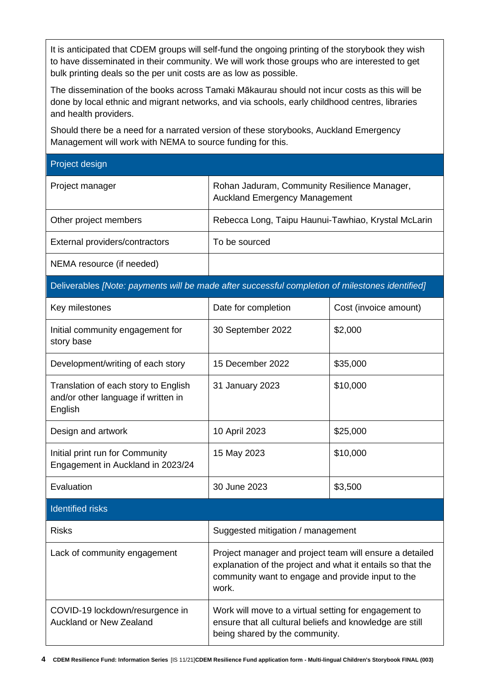It is anticipated that CDEM groups will self-fund the ongoing printing of the storybook they wish to have disseminated in their community. We will work those groups who are interested to get bulk printing deals so the per unit costs are as low as possible.

The dissemination of the books across Tamaki Mākaurau should not incur costs as this will be done by local ethnic and migrant networks, and via schools, early childhood centres, libraries and health providers.

Should there be a need for a narrated version of these storybooks, Auckland Emergency Management will work with NEMA to source funding for this.

Project design

| Project manager                | Rohan Jaduram, Community Resilience Manager,<br><b>Auckland Emergency Management</b> |
|--------------------------------|--------------------------------------------------------------------------------------|
| Other project members          | Rebecca Long, Taipu Haunui-Tawhiao, Krystal McLarin                                  |
| External providers/contractors | To be sourced                                                                        |
| NEMA resource (if needed)      |                                                                                      |

Deliverables *[Note: payments will be made after successful completion of milestones identified]*

| Key milestones                                                                         | Date for completion                                                                                                                                                                 | Cost (invoice amount) |  |  |
|----------------------------------------------------------------------------------------|-------------------------------------------------------------------------------------------------------------------------------------------------------------------------------------|-----------------------|--|--|
| Initial community engagement for<br>story base                                         | 30 September 2022                                                                                                                                                                   | \$2,000               |  |  |
| Development/writing of each story                                                      | 15 December 2022                                                                                                                                                                    | \$35,000              |  |  |
| Translation of each story to English<br>and/or other language if written in<br>English | 31 January 2023                                                                                                                                                                     | \$10,000              |  |  |
| Design and artwork                                                                     | 10 April 2023                                                                                                                                                                       | \$25,000              |  |  |
| Initial print run for Community<br>Engagement in Auckland in 2023/24                   | 15 May 2023                                                                                                                                                                         | \$10,000              |  |  |
| Evaluation                                                                             | 30 June 2023                                                                                                                                                                        | \$3,500               |  |  |
| <b>Identified risks</b>                                                                |                                                                                                                                                                                     |                       |  |  |
| <b>Risks</b>                                                                           | Suggested mitigation / management                                                                                                                                                   |                       |  |  |
| Lack of community engagement                                                           | Project manager and project team will ensure a detailed<br>explanation of the project and what it entails so that the<br>community want to engage and provide input to the<br>work. |                       |  |  |
| COVID-19 lockdown/resurgence in<br><b>Auckland or New Zealand</b>                      | Work will move to a virtual setting for engagement to<br>ensure that all cultural beliefs and knowledge are still<br>being shared by the community.                                 |                       |  |  |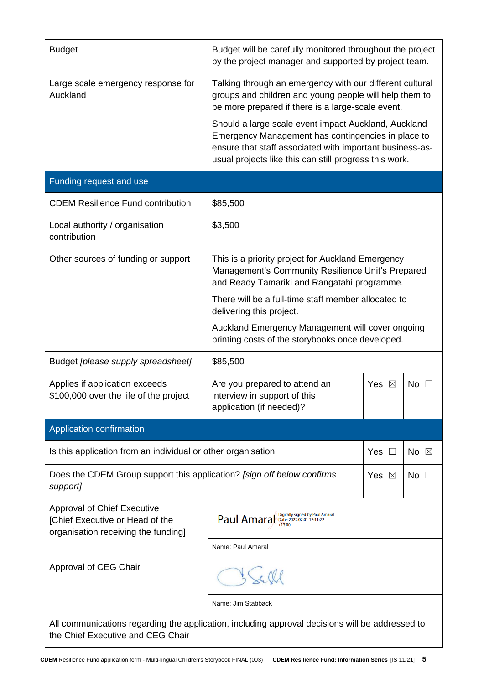| <b>Budget</b>                                                                                                                        | Budget will be carefully monitored throughout the project<br>by the project manager and supported by project team.                                                                                                               |  |                |  |  |
|--------------------------------------------------------------------------------------------------------------------------------------|----------------------------------------------------------------------------------------------------------------------------------------------------------------------------------------------------------------------------------|--|----------------|--|--|
| Large scale emergency response for<br>Auckland                                                                                       | Talking through an emergency with our different cultural<br>groups and children and young people will help them to<br>be more prepared if there is a large-scale event.                                                          |  |                |  |  |
|                                                                                                                                      | Should a large scale event impact Auckland, Auckland<br>Emergency Management has contingencies in place to<br>ensure that staff associated with important business-as-<br>usual projects like this can still progress this work. |  |                |  |  |
| Funding request and use                                                                                                              |                                                                                                                                                                                                                                  |  |                |  |  |
| <b>CDEM Resilience Fund contribution</b>                                                                                             | \$85,500                                                                                                                                                                                                                         |  |                |  |  |
| Local authority / organisation<br>contribution                                                                                       | \$3,500                                                                                                                                                                                                                          |  |                |  |  |
| Other sources of funding or support                                                                                                  | This is a priority project for Auckland Emergency<br>Management's Community Resilience Unit's Prepared<br>and Ready Tamariki and Rangatahi programme.                                                                            |  |                |  |  |
|                                                                                                                                      | There will be a full-time staff member allocated to<br>delivering this project.                                                                                                                                                  |  |                |  |  |
|                                                                                                                                      | Auckland Emergency Management will cover ongoing<br>printing costs of the storybooks once developed.                                                                                                                             |  |                |  |  |
| Budget [please supply spreadsheet]                                                                                                   | \$85,500                                                                                                                                                                                                                         |  |                |  |  |
| Applies if application exceeds<br>\$100,000 over the life of the project                                                             | Are you prepared to attend an<br>Yes $\boxtimes$<br>No $\square$<br>interview in support of this<br>application (if needed)?                                                                                                     |  |                |  |  |
| Application confirmation                                                                                                             |                                                                                                                                                                                                                                  |  |                |  |  |
| Is this application from an individual or other organisation<br>Yes $\square$                                                        |                                                                                                                                                                                                                                  |  | No $\boxtimes$ |  |  |
| Does the CDEM Group support this application? [sign off below confirms<br>support]                                                   |                                                                                                                                                                                                                                  |  | No<br>$\perp$  |  |  |
| <b>Approval of Chief Executive</b><br>[Chief Executive or Head of the<br>organisation receiving the funding]                         | Digitally signed by Paul Amaral<br>Paul Amara                                                                                                                                                                                    |  |                |  |  |
|                                                                                                                                      | Name: Paul Amaral                                                                                                                                                                                                                |  |                |  |  |
| Approval of CEG Chair                                                                                                                | c Cle                                                                                                                                                                                                                            |  |                |  |  |
|                                                                                                                                      | Name: Jim Stabback                                                                                                                                                                                                               |  |                |  |  |
| All communications regarding the application, including approval decisions will be addressed to<br>the Chief Executive and CEG Chair |                                                                                                                                                                                                                                  |  |                |  |  |

 $\overline{\phantom{a}}$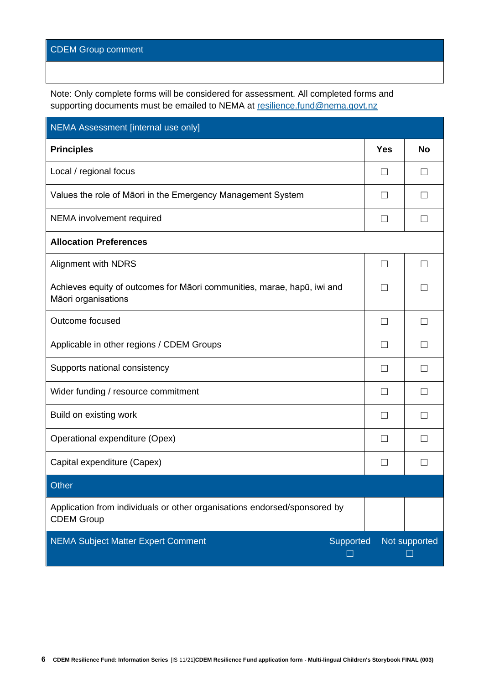## CDEM Group comment

Note: Only complete forms will be considered for assessment. All completed forms and supporting documents must be emailed to NEMA at [resilience.fund@nema.govt.nz](mailto:resilience.fund@nema.govt.nz?subject=CDEM%20Resilience%20Fund:)

| NEMA Assessment [internal use only]                                                            |                   |               |
|------------------------------------------------------------------------------------------------|-------------------|---------------|
| <b>Principles</b>                                                                              | <b>Yes</b>        | <b>No</b>     |
| Local / regional focus                                                                         | $\Box$            |               |
| Values the role of Māori in the Emergency Management System                                    | П                 |               |
| NEMA involvement required                                                                      | П                 |               |
| <b>Allocation Preferences</b>                                                                  |                   |               |
| <b>Alignment with NDRS</b>                                                                     | П                 |               |
| Achieves equity of outcomes for Māori communities, marae, hapū, iwi and<br>Māori organisations | $\vert \ \ \vert$ |               |
| Outcome focused                                                                                | П                 |               |
| Applicable in other regions / CDEM Groups                                                      | $\Box$            |               |
| Supports national consistency                                                                  | $\Box$            |               |
| Wider funding / resource commitment                                                            | П                 |               |
| Build on existing work                                                                         | $\vert \ \ \vert$ |               |
| Operational expenditure (Opex)                                                                 | П                 |               |
| Capital expenditure (Capex)                                                                    | П                 |               |
| <b>Other</b>                                                                                   |                   |               |
| Application from individuals or other organisations endorsed/sponsored by<br><b>CDEM Group</b> |                   |               |
| <b>NEMA Subject Matter Expert Comment</b><br>Supported<br>$\mathsf{L}$                         |                   | Not supported |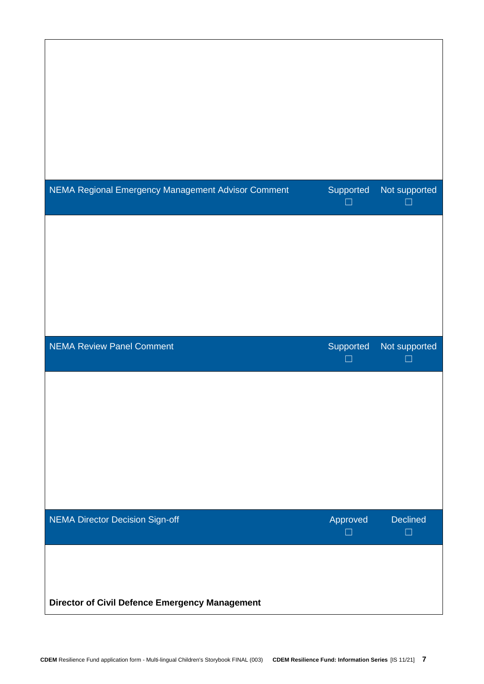| NEMA Regional Emergency Management Advisor Comment | Supported      | Not supported       |
|----------------------------------------------------|----------------|---------------------|
|                                                    | П              | H                   |
|                                                    |                |                     |
| <b>NEMA Review Panel Comment</b>                   | Supported<br>□ | Not supported<br>k. |
|                                                    |                |                     |
|                                                    |                |                     |
| <b>NEMA Director Decision Sign-off</b>             | Approved<br>┓  | Declined<br>$\Box$  |
|                                                    |                |                     |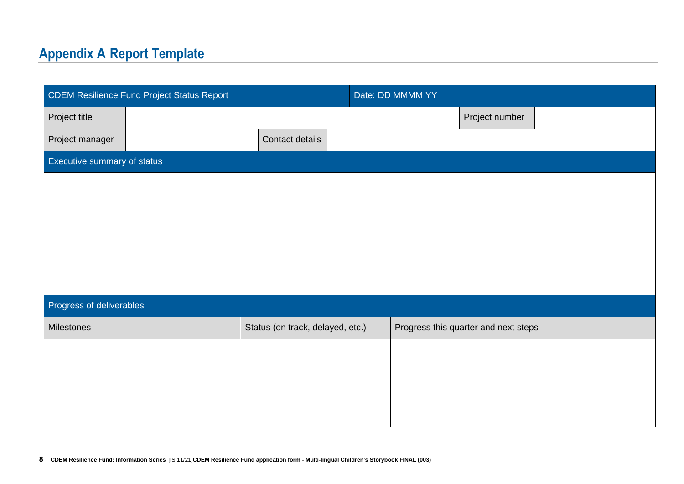## **Appendix A Report Template**

| <b>CDEM Resilience Fund Project Status Report</b> |                                  | Date: DD MMMM YY                     |  |
|---------------------------------------------------|----------------------------------|--------------------------------------|--|
| Project title                                     |                                  | Project number                       |  |
| Project manager                                   | Contact details                  |                                      |  |
| Executive summary of status                       |                                  |                                      |  |
|                                                   |                                  |                                      |  |
|                                                   |                                  |                                      |  |
|                                                   |                                  |                                      |  |
|                                                   |                                  |                                      |  |
|                                                   |                                  |                                      |  |
| Progress of deliverables                          |                                  |                                      |  |
| Milestones                                        | Status (on track, delayed, etc.) | Progress this quarter and next steps |  |
|                                                   |                                  |                                      |  |
|                                                   |                                  |                                      |  |
|                                                   |                                  |                                      |  |
|                                                   |                                  |                                      |  |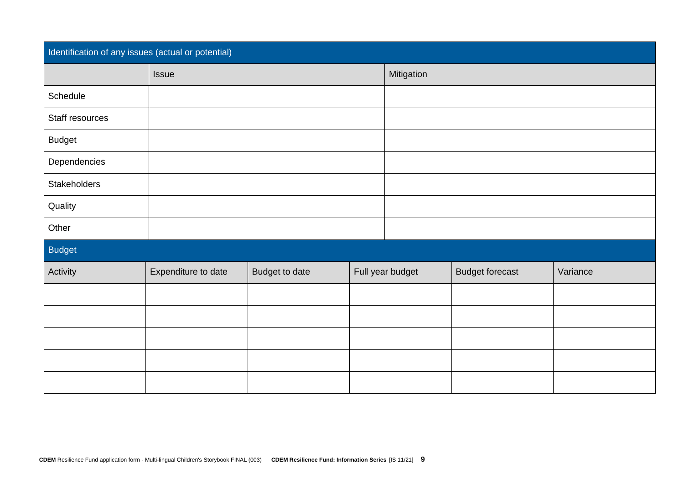| Identification of any issues (actual or potential) |                     |                |  |                  |                        |          |
|----------------------------------------------------|---------------------|----------------|--|------------------|------------------------|----------|
|                                                    | Issue               |                |  | Mitigation       |                        |          |
| Schedule                                           |                     |                |  |                  |                        |          |
| Staff resources                                    |                     |                |  |                  |                        |          |
| <b>Budget</b>                                      |                     |                |  |                  |                        |          |
| Dependencies                                       |                     |                |  |                  |                        |          |
| Stakeholders                                       |                     |                |  |                  |                        |          |
| Quality                                            |                     |                |  |                  |                        |          |
| Other                                              |                     |                |  |                  |                        |          |
| <b>Budget</b>                                      |                     |                |  |                  |                        |          |
| Activity                                           | Expenditure to date | Budget to date |  | Full year budget | <b>Budget forecast</b> | Variance |
|                                                    |                     |                |  |                  |                        |          |
|                                                    |                     |                |  |                  |                        |          |
|                                                    |                     |                |  |                  |                        |          |
|                                                    |                     |                |  |                  |                        |          |
|                                                    |                     |                |  |                  |                        |          |